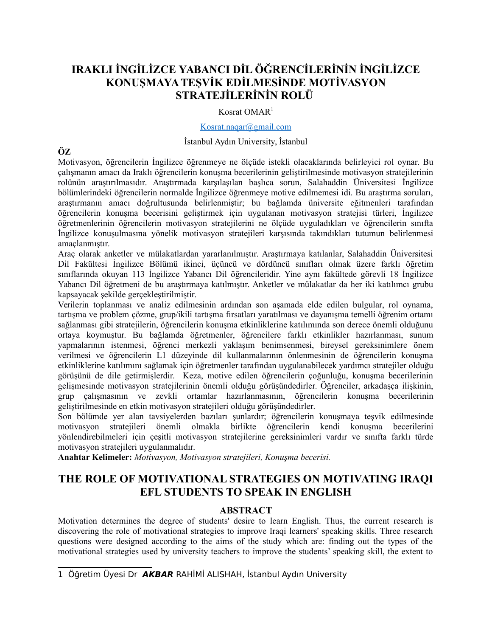# **IRAKLI İNGİLİZCE YABANCI DİL ÖĞRENCİLERİNİN İNGİLİZCE KONUŞMAYA TEŞVİK EDİLMESİNDE MOTİVASYON STRATEJİLERİNİN ROLÜ**

## Kosrat OMAR[1](#page-0-0)

#### [Kosrat.naqar@gmail.com](mailto:Kosrat.naqar@gmail.com)

### İstanbul Aydın University, İstanbul

# **ÖZ**

Motivasyon, öğrencilerin İngilizce öğrenmeye ne ölçüde istekli olacaklarında belirleyici rol oynar. Bu çalışmanın amacı da Iraklı öğrencilerin konuşma becerilerinin geliştirilmesinde motivasyon stratejilerinin rolünün araştırılmasıdır. Araştırmada karşılaşılan başlıca sorun, Salahaddin Üniversitesi İngilizce bölümlerindeki öğrencilerin normalde İngilizce öğrenmeye motive edilmemesi idi. Bu araştırma soruları, araştırmanın amacı doğrultusunda belirlenmiştir; bu bağlamda üniversite eğitmenleri tarafından öğrencilerin konuşma becerisini geliştirmek için uygulanan motivasyon stratejisi türleri, İngilizce öğretmenlerinin öğrencilerin motivasyon stratejilerini ne ölçüde uyguladıkları ve öğrencilerin sınıfta İngilizce konuşulmasına yönelik motivasyon stratejileri karşısında takındıkları tutumun belirlenmesi amaçlanmıştır.

Araç olarak anketler ve mülakatlardan yararlanılmıştır. Araştırmaya katılanlar, Salahaddin Üniversitesi Dil Fakültesi İngilizce Bölümü ikinci, üçüncü ve dördüncü sınıfları olmak üzere farklı öğretim sınıflarında okuyan 113 İngilizce Yabancı Dil öğrencileridir. Yine aynı fakültede görevli 18 İngilizce Yabancı Dil öğretmeni de bu araştırmaya katılmıştır. Anketler ve mülakatlar da her iki katılımcı grubu kapsayacak şekilde gerçekleştirilmiştir.

Verilerin toplanması ve analiz edilmesinin ardından son aşamada elde edilen bulgular, rol oynama, tartışma ve problem çözme, grup/ikili tartışma fırsatları yaratılması ve dayanışma temelli öğrenim ortamı sağlanması gibi stratejilerin, öğrencilerin konuşma etkinliklerine katılımında son derece önemli olduğunu ortaya koymuştur. Bu bağlamda öğretmenler, öğrencilere farklı etkinlikler hazırlanması, sunum yapmalarının istenmesi, öğrenci merkezli yaklaşım benimsenmesi, bireysel gereksinimlere önem verilmesi ve öğrencilerin L1 düzeyinde dil kullanmalarının önlenmesinin de öğrencilerin konuşma etkinliklerine katılımını sağlamak için öğretmenler tarafından uygulanabilecek yardımcı stratejiler olduğu görüşünü de dile getirmişlerdir. Keza, motive edilen öğrencilerin çoğunluğu, konuşma becerilerinin gelişmesinde motivasyon stratejilerinin önemli olduğu görüşündedirler. Öğrenciler, arkadaşça ilişkinin, grup çalışmasının ve zevkli ortamlar hazırlanmasının, öğrencilerin konuşma becerilerinin geliştirilmesinde en etkin motivasyon stratejileri olduğu görüşündedirler.

Son bölümde yer alan tavsiyelerden bazıları şunlardır; öğrencilerin konuşmaya teşvik edilmesinde motivasyon stratejileri önemli olmakla birlikte öğrencilerin kendi konuşma becerilerini yönlendirebilmeleri için çeşitli motivasyon stratejilerine gereksinimleri vardır ve sınıfta farklı türde motivasyon stratejileri uygulanmalıdır.

**Anahtar Kelimeler:** *Motivasyon, Motivasyon stratejileri, Konuşma becerisi.*

# **THE ROLE OF MOTIVATIONAL STRATEGIES ON MOTIVATING IRAQI EFL STUDENTS TO SPEAK IN ENGLISH**

## **ABSTRACT**

Motivation determines the degree of students' desire to learn English. Thus, the current research is discovering the role of motivational strategies to improve Iraqi learners' speaking skills. Three research questions were designed according to the aims of the study which are: finding out the types of the motivational strategies used by university teachers to improve the students' speaking skill, the extent to

<span id="page-0-0"></span><sup>1</sup> Öğretim Üyesi Dr **AKBAR** RAHİMİ ALISHAH, İstanbul Aydın University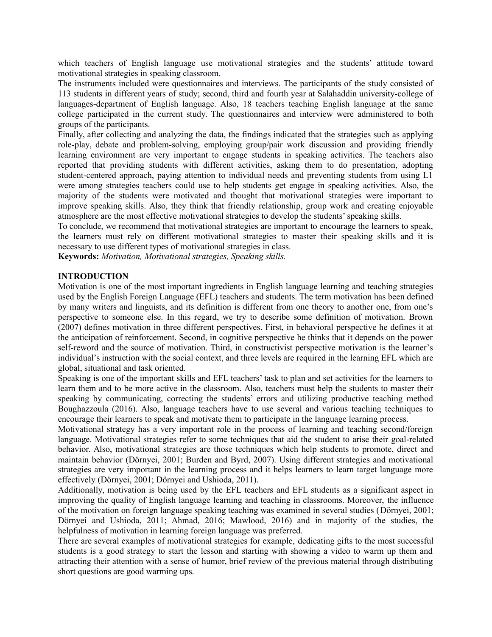which teachers of English language use motivational strategies and the students' attitude toward motivational strategies in speaking classroom.

The instruments included were questionnaires and interviews. The participants of the study consisted of 113 students in different years of study; second, third and fourth year at Salahaddin university-college of languages-department of English language. Also, 18 teachers teaching English language at the same college participated in the current study. The questionnaires and interview were administered to both groups of the participants.

Finally, after collecting and analyzing the data, the findings indicated that the strategies such as applying role-play, debate and problem-solving, employing group/pair work discussion and providing friendly learning environment are very important to engage students in speaking activities. The teachers also reported that providing students with different activities, asking them to do presentation, adopting student-centered approach, paying attention to individual needs and preventing students from using L1 were among strategies teachers could use to help students get engage in speaking activities. Also, the majority of the students were motivated and thought that motivational strategies were important to improve speaking skills. Also, they think that friendly relationship, group work and creating enjoyable atmosphere are the most effective motivational strategies to develop the students' speaking skills.

To conclude, we recommend that motivational strategies are important to encourage the learners to speak, the learners must rely on different motivational strategies to master their speaking skills and it is necessary to use different types of motivational strategies in class.

**Keywords:** *Motivation, Motivational strategies, Speaking skills.*

#### **INTRODUCTION**

Motivation is one of the most important ingredients in English language learning and teaching strategies used by the English Foreign Language (EFL) teachers and students. The term motivation has been defined by many writers and linguists, and its definition is different from one theory to another one, from one's perspective to someone else. In this regard, we try to describe some definition of motivation. Brown (2007) defines motivation in three different perspectives. First, in behavioral perspective he defines it at the anticipation of reinforcement. Second, in cognitive perspective he thinks that it depends on the power self-reword and the source of motivation. Third, in constructivist perspective motivation is the learner's individual's instruction with the social context, and three levels are required in the learning EFL which are global, situational and task oriented.

Speaking is one of the important skills and EFL teachers' task to plan and set activities for the learners to learn them and to be more active in the classroom. Also, teachers must help the students to master their speaking by communicating, correcting the students' errors and utilizing productive teaching method Boughazzoula (2016). Also, language teachers have to use several and various teaching techniques to encourage their learners to speak and motivate them to participate in the language learning process.

Motivational strategy has a very important role in the process of learning and teaching second/foreign language. Motivational strategies refer to some techniques that aid the student to arise their goal-related behavior. Also, motivational strategies are those techniques which help students to promote, direct and maintain behavior (Dörnyei, 2001; Burden and Byrd, 2007). Using different strategies and motivational strategies are very important in the learning process and it helps learners to learn target language more effectively (Dörnyei, 2001; Dörnyei and Ushioda, 2011).

Additionally, motivation is being used by the EFL teachers and EFL students as a significant aspect in improving the quality of English language learning and teaching in classrooms. Moreover, the influence of the motivation on foreign language speaking teaching was examined in several studies (Dörnyei, 2001; Dörnyei and Ushioda, 2011; Ahmad, 2016; Mawlood, 2016) and in majority of the studies, the helpfulness of motivation in learning foreign language was preferred.

There are several examples of motivational strategies for example, dedicating gifts to the most successful students is a good strategy to start the lesson and starting with showing a video to warm up them and attracting their attention with a sense of humor, brief review of the previous material through distributing short questions are good warming ups.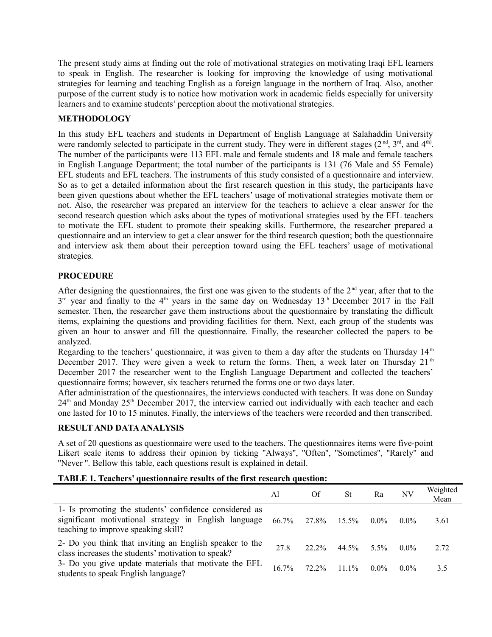The present study aims at finding out the role of motivational strategies on motivating Iraqi EFL learners to speak in English. The researcher is looking for improving the knowledge of using motivational strategies for learning and teaching English as a foreign language in the northern of Iraq. Also, another purpose of the current study is to notice how motivation work in academic fields especially for university learners and to examine students' perception about the motivational strategies.

## **METHODOLOGY**

In this study EFL teachers and students in Department of English Language at Salahaddin University were randomly selected to participate in the current study. They were in different stages  $(2^{nd}, 3^{rd},$  and  $4^{th})$ . The number of the participants were 113 EFL male and female students and 18 male and female teachers in English Language Department; the total number of the participants is 131 (76 Male and 55 Female) EFL students and EFL teachers. The instruments of this study consisted of a questionnaire and interview. So as to get a detailed information about the first research question in this study, the participants have been given questions about whether the EFL teachers' usage of motivational strategies motivate them or not. Also, the researcher was prepared an interview for the teachers to achieve a clear answer for the second research question which asks about the types of motivational strategies used by the EFL teachers to motivate the EFL student to promote their speaking skills. Furthermore, the researcher prepared a questionnaire and an interview to get a clear answer for the third research question; both the questionnaire and interview ask them about their perception toward using the EFL teachers' usage of motivational strategies.

## **PROCEDURE**

After designing the questionnaires, the first one was given to the students of the  $2<sup>nd</sup>$  year, after that to the  $3<sup>rd</sup>$  year and finally to the 4<sup>th</sup> years in the same day on Wednesday 13<sup>th</sup> December 2017 in the Fall semester. Then, the researcher gave them instructions about the questionnaire by translating the difficult items, explaining the questions and providing facilities for them. Next, each group of the students was given an hour to answer and fill the questionnaire. Finally, the researcher collected the papers to be analyzed.

Regarding to the teachers' questionnaire, it was given to them a day after the students on Thursday  $14<sup>th</sup>$ December 2017. They were given a week to return the forms. Then, a week later on Thursday  $21<sup>th</sup>$ December 2017 the researcher went to the English Language Department and collected the teachers' questionnaire forms; however, six teachers returned the forms one or two days later.

After administration of the questionnaires, the interviews conducted with teachers. It was done on Sunday  $24<sup>th</sup>$  and Monday  $25<sup>th</sup>$  December 2017, the interview carried out individually with each teacher and each one lasted for 10 to 15 minutes. Finally, the interviews of the teachers were recorded and then transcribed.

### **RESULT AND DATA ANALYSIS**

A set of 20 questions as questionnaire were used to the teachers. The questionnaires items were five-point Likert scale items to address their opinion by ticking "Always", "Often", "Sometimes", "Rarely" and ''Never ''. Bellow this table, each questions result is explained in detail.

## **TABLE 1. Teachers' questionnaire results of the first research question:**

|                                                                                                                                                                    | Al       | Of          | <b>St</b> | Ra      | NV      | Weighted<br>Mean |
|--------------------------------------------------------------------------------------------------------------------------------------------------------------------|----------|-------------|-----------|---------|---------|------------------|
| 1- Is promoting the students' confidence considered as<br>significant motivational strategy in English language 66.7% 27.8%<br>teaching to improve speaking skill? |          |             | $15.5\%$  | $0.0\%$ | $0.0\%$ | 3.61             |
| 2- Do you think that inviting an English speaker to the<br>class increases the students' motivation to speak?                                                      | 27.8     | 22.2%       | 44.5%     | $5.5\%$ | $0.0\%$ | 2.72             |
| 3- Do you give update materials that motivate the EFL<br>students to speak English language?                                                                       | $16.7\%$ | 72.2% 11.1% |           | $0.0\%$ | $0.0\%$ | 3.5              |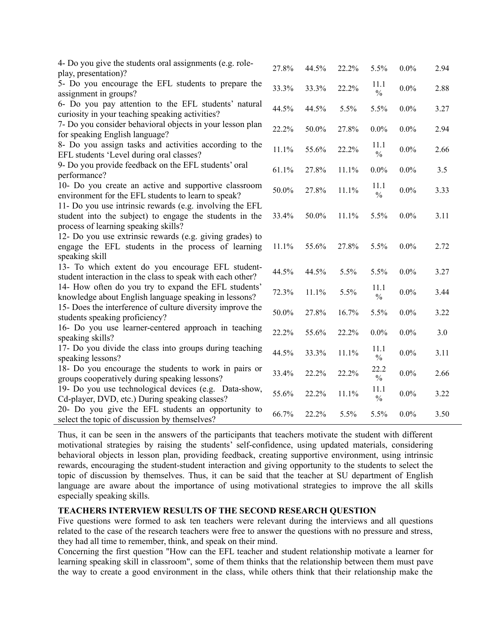| 4- Do you give the students oral assignments (e.g. role-<br>play, presentation)?                                                                            | 27.8% | 44.5% | 22.2% | 5.5%                  | $0.0\%$ | 2.94 |
|-------------------------------------------------------------------------------------------------------------------------------------------------------------|-------|-------|-------|-----------------------|---------|------|
| 5- Do you encourage the EFL students to prepare the<br>assignment in groups?                                                                                | 33.3% | 33.3% | 22.2% | 11.1<br>$\frac{0}{0}$ | $0.0\%$ | 2.88 |
| 6- Do you pay attention to the EFL students' natural<br>curiosity in your teaching speaking activities?                                                     | 44.5% | 44.5% | 5.5%  | 5.5%                  | $0.0\%$ | 3.27 |
| 7- Do you consider behavioral objects in your lesson plan<br>for speaking English language?                                                                 | 22.2% | 50.0% | 27.8% | 0.0%                  | $0.0\%$ | 2.94 |
| 8- Do you assign tasks and activities according to the<br>EFL students 'Level during oral classes?                                                          | 11.1% | 55.6% | 22.2% | 11.1<br>$\frac{0}{0}$ | $0.0\%$ | 2.66 |
| 9- Do you provide feedback on the EFL students' oral<br>performance?                                                                                        | 61.1% | 27.8% | 11.1% | $0.0\%$               | $0.0\%$ | 3.5  |
| 10- Do you create an active and supportive classroom<br>environment for the EFL students to learn to speak?                                                 | 50.0% | 27.8% | 11.1% | 11.1<br>$\frac{0}{0}$ | $0.0\%$ | 3.33 |
| 11- Do you use intrinsic rewards (e.g. involving the EFL<br>student into the subject) to engage the students in the<br>process of learning speaking skills? | 33.4% | 50.0% | 11.1% | 5.5%                  | $0.0\%$ | 3.11 |
| 12- Do you use extrinsic rewards (e.g. giving grades) to<br>engage the EFL students in the process of learning<br>speaking skill                            | 11.1% | 55.6% | 27.8% | 5.5%                  | $0.0\%$ | 2.72 |
| 13- To which extent do you encourage EFL student-<br>student interaction in the class to speak with each other?                                             | 44.5% | 44.5% | 5.5%  | 5.5%                  | $0.0\%$ | 3.27 |
| 14- How often do you try to expand the EFL students'<br>knowledge about English language speaking in lessons?                                               | 72.3% | 11.1% | 5.5%  | 11.1<br>$\frac{0}{0}$ | $0.0\%$ | 3.44 |
| 15- Does the interference of culture diversity improve the<br>students speaking proficiency?                                                                | 50.0% | 27.8% | 16.7% | 5.5%                  | 0.0%    | 3.22 |
| 16- Do you use learner-centered approach in teaching<br>speaking skills?                                                                                    | 22.2% | 55.6% | 22.2% | 0.0%                  | $0.0\%$ | 3.0  |
| 17- Do you divide the class into groups during teaching<br>speaking lessons?                                                                                | 44.5% | 33.3% | 11.1% | 11.1<br>$\frac{0}{0}$ | $0.0\%$ | 3.11 |
| 18- Do you encourage the students to work in pairs or<br>groups cooperatively during speaking lessons?                                                      | 33.4% | 22.2% | 22.2% | 22.2<br>$\frac{0}{0}$ | $0.0\%$ | 2.66 |
| 19- Do you use technological devices (e.g. Data-show,<br>Cd-player, DVD, etc.) During speaking classes?                                                     | 55.6% | 22.2% | 11.1% | 11.1<br>$\frac{0}{0}$ | $0.0\%$ | 3.22 |
| 20- Do you give the EFL students an opportunity to<br>select the topic of discussion by themselves?                                                         | 66.7% | 22.2% | 5.5%  | 5.5%                  | $0.0\%$ | 3.50 |

Thus, it can be seen in the answers of the participants that teachers motivate the student with different motivational strategies by raising the students' self-confidence, using updated materials, considering behavioral objects in lesson plan, providing feedback, creating supportive environment, using intrinsic rewards, encouraging the student-student interaction and giving opportunity to the students to select the topic of discussion by themselves. Thus, it can be said that the teacher at SU department of English language are aware about the importance of using motivational strategies to improve the all skills especially speaking skills.

#### **TEACHERS INTERVIEW RESULTS OF THE SECOND RESEARCH QUESTION**

Five questions were formed to ask ten teachers were relevant during the interviews and all questions related to the case of the research teachers were free to answer the questions with no pressure and stress, they had all time to remember, think, and speak on their mind.

Concerning the first question "How can the EFL teacher and student relationship motivate a learner for learning speaking skill in classroom", some of them thinks that the relationship between them must pave the way to create a good environment in the class, while others think that their relationship make the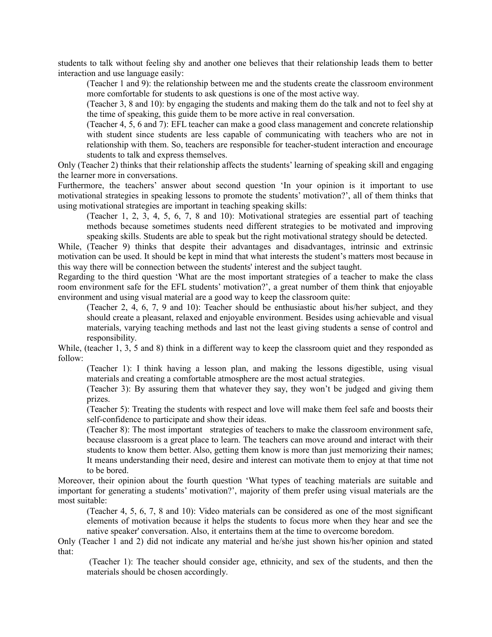students to talk without feeling shy and another one believes that their relationship leads them to better interaction and use language easily:

(Teacher 1 and 9): the relationship between me and the students create the classroom environment more comfortable for students to ask questions is one of the most active way.

(Teacher 3, 8 and 10): by engaging the students and making them do the talk and not to feel shy at the time of speaking, this guide them to be more active in real conversation.

(Teacher 4, 5, 6 and 7): EFL teacher can make a good class management and concrete relationship with student since students are less capable of communicating with teachers who are not in relationship with them. So, teachers are responsible for teacher-student interaction and encourage students to talk and express themselves.

Only (Teacher 2) thinks that their relationship affects the students' learning of speaking skill and engaging the learner more in conversations.

Furthermore, the teachers' answer about second question 'In your opinion is it important to use motivational strategies in speaking lessons to promote the students' motivation?', all of them thinks that using motivational strategies are important in teaching speaking skills:

(Teacher 1, 2, 3, 4, 5, 6, 7, 8 and 10): Motivational strategies are essential part of teaching methods because sometimes students need different strategies to be motivated and improving speaking skills. Students are able to speak but the right motivational strategy should be detected.

While, (Teacher 9) thinks that despite their advantages and disadvantages, intrinsic and extrinsic motivation can be used. It should be kept in mind that what interests the student's matters most because in this way there will be connection between the students' interest and the subject taught.

Regarding to the third question 'What are the most important strategies of a teacher to make the class room environment safe for the EFL students' motivation?', a great number of them think that enjoyable environment and using visual material are a good way to keep the classroom quite:

(Teacher 2, 4, 6, 7, 9 and 10): Teacher should be enthusiastic about his/her subject, and they should create a pleasant, relaxed and enjoyable environment. Besides using achievable and visual materials, varying teaching methods and last not the least giving students a sense of control and responsibility.

While, (teacher 1, 3, 5 and 8) think in a different way to keep the classroom quiet and they responded as follow:

(Teacher 1): I think having a lesson plan, and making the lessons digestible, using visual materials and creating a comfortable atmosphere are the most actual strategies.

(Teacher 3): By assuring them that whatever they say, they won't be judged and giving them prizes.

(Teacher 5): Treating the students with respect and love will make them feel safe and boosts their self-confidence to participate and show their ideas.

(Teacher 8): The most important strategies of teachers to make the classroom environment safe, because classroom is a great place to learn. The teachers can move around and interact with their students to know them better. Also, getting them know is more than just memorizing their names; It means understanding their need, desire and interest can motivate them to enjoy at that time not to be bored.

Moreover, their opinion about the fourth question 'What types of teaching materials are suitable and important for generating a students' motivation?', majority of them prefer using visual materials are the most suitable:

(Teacher 4, 5, 6, 7, 8 and 10): Video materials can be considered as one of the most significant elements of motivation because it helps the students to focus more when they hear and see the native speaker' conversation. Also, it entertains them at the time to overcome boredom.

Only (Teacher 1 and 2) did not indicate any material and he/she just shown his/her opinion and stated that:

(Teacher 1): The teacher should consider age, ethnicity, and sex of the students, and then the materials should be chosen accordingly.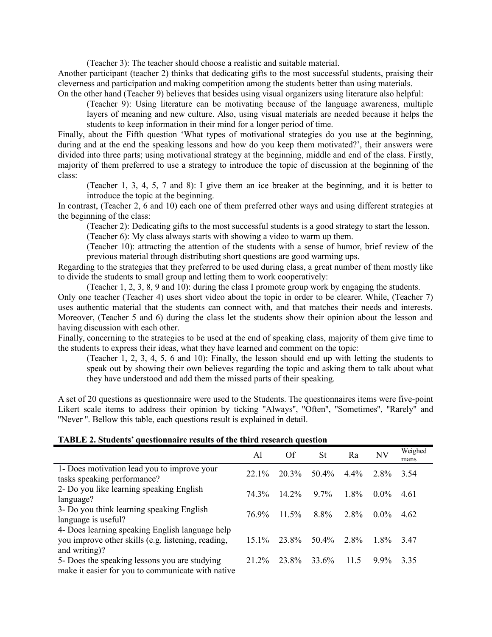(Teacher 3): The teacher should choose a realistic and suitable material.

Another participant (teacher 2) thinks that dedicating gifts to the most successful students, praising their cleverness and participation and making competition among the students better than using materials. On the other hand (Teacher 9) believes that besides using visual organizers using literature also helpful:

(Teacher 9): Using literature can be motivating because of the language awareness, multiple layers of meaning and new culture. Also, using visual materials are needed because it helps the students to keep information in their mind for a longer period of time.

Finally, about the Fifth question 'What types of motivational strategies do you use at the beginning, during and at the end the speaking lessons and how do you keep them motivated?', their answers were divided into three parts; using motivational strategy at the beginning, middle and end of the class. Firstly, majority of them preferred to use a strategy to introduce the topic of discussion at the beginning of the class:

(Teacher 1, 3, 4, 5, 7 and 8): I give them an ice breaker at the beginning, and it is better to introduce the topic at the beginning.

In contrast, (Teacher 2, 6 and 10) each one of them preferred other ways and using different strategies at the beginning of the class:

(Teacher 2): Dedicating gifts to the most successful students is a good strategy to start the lesson.

(Teacher 6): My class always starts with showing a video to warm up them.

(Teacher 10): attracting the attention of the students with a sense of humor, brief review of the previous material through distributing short questions are good warming ups.

Regarding to the strategies that they preferred to be used during class, a great number of them mostly like to divide the students to small group and letting them to work cooperatively:

(Teacher 1, 2, 3, 8, 9 and 10): during the class I promote group work by engaging the students.

Only one teacher (Teacher 4) uses short video about the topic in order to be clearer. While, (Teacher 7) uses authentic material that the students can connect with, and that matches their needs and interests. Moreover, (Teacher 5 and 6) during the class let the students show their opinion about the lesson and having discussion with each other.

Finally, concerning to the strategies to be used at the end of speaking class, majority of them give time to the students to express their ideas, what they have learned and comment on the topic:

(Teacher 1, 2, 3, 4, 5, 6 and 10): Finally, the lesson should end up with letting the students to speak out by showing their own believes regarding the topic and asking them to talk about what they have understood and add them the missed parts of their speaking.

A set of 20 questions as questionnaire were used to the Students. The questionnaires items were five-point Likert scale items to address their opinion by ticking "Always", "Often", "Sometimes", "Rarely" and ''Never ''. Bellow this table, each questions result is explained in detail.

| TABLE 2. Students' questionnaire results of the third research question |  |  |  |  |
|-------------------------------------------------------------------------|--|--|--|--|
|-------------------------------------------------------------------------|--|--|--|--|

|                                                                                                                        | Al      | Of       | <b>St</b> | Ra      | NV      | Weighed<br>mans |
|------------------------------------------------------------------------------------------------------------------------|---------|----------|-----------|---------|---------|-----------------|
| 1- Does motivation lead you to improve your<br>tasks speaking performance?                                             | $221\%$ | 20.3%    | $50.4\%$  | $4.4\%$ | 2.8%    | 3.54            |
| 2- Do you like learning speaking English<br>language?                                                                  | 74.3%   | $14.2\%$ | $97\%$    | $1.8\%$ | $0.0\%$ | 4.61            |
| 3- Do you think learning speaking English<br>language is useful?                                                       | 76.9%   | $11.5\%$ | 8.8%      | 2.8%    | $0.0\%$ | 4.62            |
| 4- Does learning speaking English language help<br>you improve other skills (e.g. listening, reading,<br>and writing)? | $151\%$ | 23.8%    | $50.4\%$  | 2.8%    | $1.8\%$ | 347             |
| 5- Does the speaking lessons you are studying<br>make it easier for you to communicate with native                     | 21 2%   | 23.8%    | 33.6%     | 11.5    | $9.9\%$ | 3.35            |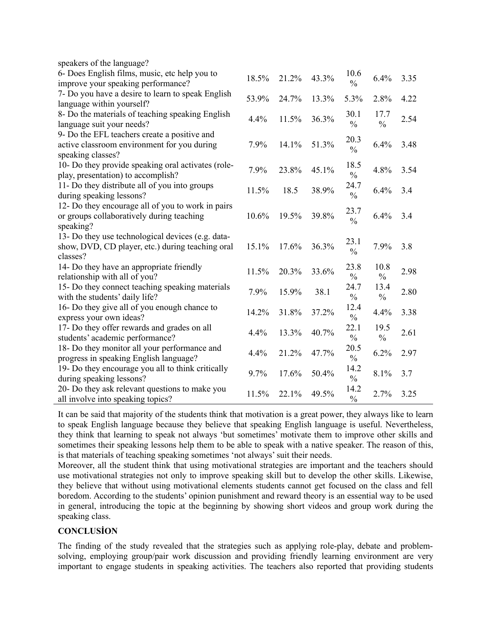| speakers of the language?                                                           |       |       |       |                       |               |      |
|-------------------------------------------------------------------------------------|-------|-------|-------|-----------------------|---------------|------|
| 6- Does English films, music, etc help you to<br>improve your speaking performance? | 18.5% | 21.2% | 43.3% | 10.6<br>$\frac{0}{0}$ | 6.4%          | 3.35 |
| 7- Do you have a desire to learn to speak English                                   |       |       |       |                       |               |      |
| language within yourself?                                                           | 53.9% | 24.7% | 13.3% | 5.3%                  | 2.8%          | 4.22 |
| 8- Do the materials of teaching speaking English                                    |       |       |       | 30.1                  | 17.7          |      |
| language suit your needs?                                                           | 4.4%  | 11.5% | 36.3% | $\frac{0}{0}$         | $\frac{0}{0}$ | 2.54 |
| 9- Do the EFL teachers create a positive and                                        |       |       |       |                       |               |      |
| active classroom environment for you during                                         | 7.9%  | 14.1% | 51.3% | 20.3                  | 6.4%          | 3.48 |
| speaking classes?                                                                   |       |       |       | $\frac{0}{0}$         |               |      |
| 10- Do they provide speaking oral activates (role-                                  |       |       |       | 18.5                  |               |      |
| play, presentation) to accomplish?                                                  | 7.9%  | 23.8% | 45.1% | $\frac{0}{0}$         | 4.8%          | 3.54 |
| 11- Do they distribute all of you into groups                                       | 11.5% | 18.5  | 38.9% | 24.7                  | 6.4%          | 3.4  |
| during speaking lessons?                                                            |       |       |       | $\frac{0}{0}$         |               |      |
| 12- Do they encourage all of you to work in pairs                                   |       |       |       | 23.7                  |               |      |
| or groups collaboratively during teaching                                           | 10.6% | 19.5% | 39.8% | $\frac{0}{0}$         | 6.4%          | 3.4  |
| speaking?                                                                           |       |       |       |                       |               |      |
| 13- Do they use technological devices (e.g. data-                                   |       |       |       | 23.1                  |               |      |
| show, DVD, CD player, etc.) during teaching oral                                    | 15.1% | 17.6% | 36.3% | $\frac{0}{0}$         | 7.9%          | 3.8  |
| classes?                                                                            |       |       |       |                       |               |      |
| 14- Do they have an appropriate friendly                                            | 11.5% | 20.3% | 33.6% | 23.8                  | 10.8          | 2.98 |
| relationship with all of you?                                                       |       |       |       | $\frac{0}{0}$         | $\frac{0}{0}$ |      |
| 15- Do they connect teaching speaking materials                                     | 7.9%  | 15.9% | 38.1  | 24.7                  | 13.4          | 2.80 |
| with the students' daily life?                                                      |       |       |       | $\frac{0}{0}$         | $\frac{0}{0}$ |      |
| 16- Do they give all of you enough chance to                                        | 14.2% | 31.8% | 37.2% | 12.4                  | 4.4%          | 3.38 |
| express your own ideas?                                                             |       |       |       | $\frac{0}{0}$         |               |      |
| 17- Do they offer rewards and grades on all                                         | 4.4%  | 13.3% | 40.7% | 22.1                  | 19.5          | 2.61 |
| students' academic performance?                                                     |       |       |       | $\frac{0}{0}$         | $\frac{0}{0}$ |      |
| 18- Do they monitor all your performance and                                        | 4.4%  | 21.2% | 47.7% | 20.5                  | 6.2%          | 2.97 |
| progress in speaking English language?                                              |       |       |       | $\frac{0}{0}$         |               |      |
| 19- Do they encourage you all to think critically                                   | 9.7%  | 17.6% | 50.4% | 14.2                  | 8.1%          | 3.7  |
| during speaking lessons?                                                            |       |       |       | $\frac{0}{0}$         |               |      |
| 20- Do they ask relevant questions to make you                                      | 11.5% | 22.1% | 49.5% | 14.2                  | 2.7%          | 3.25 |
| all involve into speaking topics?                                                   |       |       |       | $\frac{0}{0}$         |               |      |

It can be said that majority of the students think that motivation is a great power, they always like to learn to speak English language because they believe that speaking English language is useful. Nevertheless, they think that learning to speak not always 'but sometimes' motivate them to improve other skills and sometimes their speaking lessons help them to be able to speak with a native speaker. The reason of this, is that materials of teaching speaking sometimes 'not always' suit their needs.

Moreover, all the student think that using motivational strategies are important and the teachers should use motivational strategies not only to improve speaking skill but to develop the other skills. Likewise, they believe that without using motivational elements students cannot get focused on the class and fell boredom. According to the students' opinion punishment and reward theory is an essential way to be used in general, introducing the topic at the beginning by showing short videos and group work during the speaking class.

## **CONCLUSİON**

The finding of the study revealed that the strategies such as applying role-play, debate and problemsolving, employing group/pair work discussion and providing friendly learning environment are very important to engage students in speaking activities. The teachers also reported that providing students